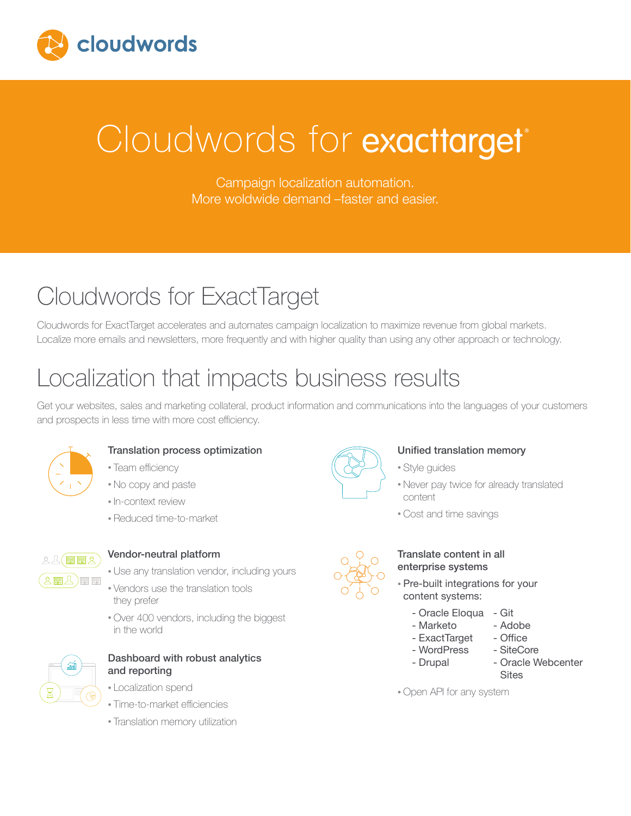

# Cloudwords for exacttarget®

Campaign localization automation. More woldwide demand –faster and easier.

### Cloudwords for ExactTarget

Cloudwords for ExactTarget accelerates and automates campaign localization to maximize revenue from global markets. Localize more emails and newsletters, more frequently and with higher quality than using any other approach or technology.

### Localization that impacts business results

Get your websites, sales and marketing collateral, product information and communications into the languages of your customers and prospects in less time with more cost efficiency.



#### Translation process optimization

- Team efficiency
- No copy and paste
- In-context review
- Reduced time-to-market



#### Vendor-neutral platform

- Use any translation vendor, including yours
- Vendors use the translation tools they prefer
- Over 400 vendors, including the biggest in the world



#### Dashboard with robust analytics and reporting

- Localization spend
- Time-to-market efficiencies
- Translation memory utilization



#### Unified translation memory

- Style guides
- Never pay twice for already translated content
- Cost and time savings



#### Translate content in all enterprise systems

- Pre-built integrations for your content systems:
	- Oracle Eloqua Git
	- Marketo Adobe<br>- ExactTarget Office
	- ExactTarget
	- WordPress SiteCore
	-
	- Drupal Oracle Webcenter **Sites**

• Open API for any system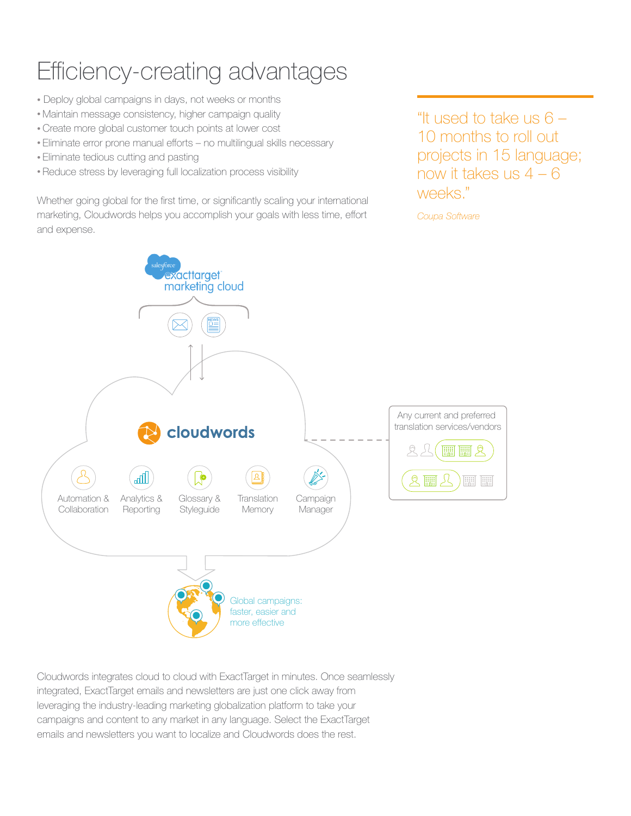### Efficiency-creating advantages

- Deploy global campaigns in days, not weeks or months
- Maintain message consistency, higher campaign quality
- Create more global customer touch points at lower cost
- Eliminate error prone manual efforts no multilingual skills necessary
- Eliminate tedious cutting and pasting
- Reduce stress by leveraging full localization process visibility

Whether going global for the first time, or significantly scaling your international marketing, Cloudwords helps you accomplish your goals with less time, effort and expense.

"It used to take us  $6 -$ 10 months to roll out projects in 15 language; now it takes us  $4 - 6$ weeks."

*Coupa Software*



Cloudwords integrates cloud to cloud with ExactTarget in minutes. Once seamlessly integrated, ExactTarget emails and newsletters are just one click away from leveraging the industry-leading marketing globalization platform to take your campaigns and content to any market in any language. Select the ExactTarget emails and newsletters you want to localize and Cloudwords does the rest.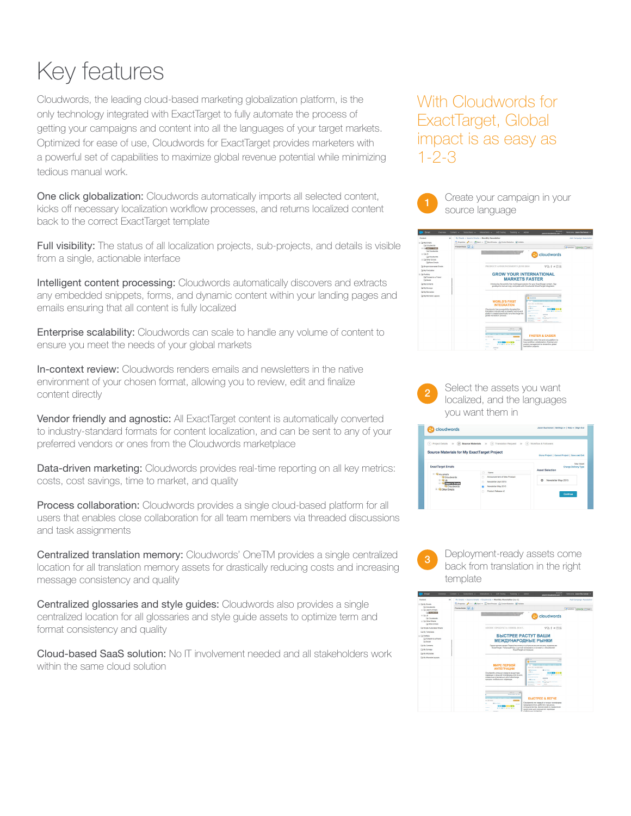## Key features

Cloudwords, the leading cloud-based marketing globalization platform, is the only technology integrated with ExactTarget to fully automate the process of getting your campaigns and content into all the languages of your target markets. Optimized for ease of use, Cloudwords for ExactTarget provides marketers with a powerful set of capabilities to maximize global revenue potential while minimizing tedious manual work.

One click globalization: Cloudwords automatically imports all selected content, kicks off necessary localization workflow processes, and returns localized content back to the correct ExactTarget template

Full visibility: The status of all localization projects, sub-projects, and details is visible from a single, actionable interface

Intelligent content processing: Cloudwords automatically discovers and extracts any embedded snippets, forms, and dynamic content within your landing pages and emails ensuring that all content is fully localized

Enterprise scalability: Cloudwords can scale to handle any volume of content to ensure you meet the needs of your global markets

In-context review: Cloudwords renders emails and newsletters in the native environment of your chosen format, allowing you to review, edit and finalize content directly

Vendor friendly and agnostic: All ExactTarget content is automatically converted to industry-standard formats for content localization, and can be sent to any of your preferred vendors or ones from the Cloudwords marketplace

Data-driven marketing: Cloudwords provides real-time reporting on all key metrics: costs, cost savings, time to market, and quality

Process collaboration: Cloudwords provides a single cloud-based platform for all users that enables close collaboration for all team members via threaded discussions and task assignments

Centralized translation memory: Cloudwords' OneTM provides a single centralized location for all translation memory assets for drastically reducing costs and increasing message consistency and quality

Centralized glossaries and style guides: Cloudwords also provides a single centralized location for all glossaries and style guide assets to optimize term and format consistency and quality

Cloud-based SaaS solution: No IT involvement needed and all stakeholders work within the same cloud solution

### With Cloudwords for ExactTarget, Global impact is as easy as 1-2-3



| Emvil<br>Overview:                                                                | <b>Bolden and</b><br>A/R Testing<br>Content w<br>Subscribers v<br>Interactions v<br>Tracking w<br>Admin<br>assonaliste udwards.com                                                                                                                                                                                                                                                     | Melcome Jason Buchanan ~ |
|-----------------------------------------------------------------------------------|----------------------------------------------------------------------------------------------------------------------------------------------------------------------------------------------------------------------------------------------------------------------------------------------------------------------------------------------------------------------------------------|--------------------------|
| Content                                                                           | My Emails > Jason's Emails > Monthly Newsletter<br>$^{44}$                                                                                                                                                                                                                                                                                                                             | Add Campaign Association |
| Fi Ca My Emails<br>Cia Cloudwords<br>as the moves timed.<br><b>Cit Cinemannis</b> | Procedur 2 to 1 Phone - Checkman Connecticute Mosters<br>Preview Mode: [13] [3]                                                                                                                                                                                                                                                                                                        | Contes (MH) Dat          |
| 日開設<br><b>Cia Coudents</b><br>In Cia Other Royals<br>Cia Mora Emails              | cloudwords                                                                                                                                                                                                                                                                                                                                                                             |                          |
| Cia Simple Automated Emails<br>Cia My Templates                                   | <b>セミチッ回座</b><br>PRODUCT ANNOUNCEMENT LIUNE 2014                                                                                                                                                                                                                                                                                                                                       |                          |
| In Ca Pertide                                                                     | <b>GROW YOUR INTERNATIONAL</b>                                                                                                                                                                                                                                                                                                                                                         |                          |
| Ca Forward to a Friend<br>Cia Social                                              | <b>MARKETS FASTER</b>                                                                                                                                                                                                                                                                                                                                                                  |                          |
| <b>Ca My Corrents</b>                                                             | Introducing the world's first multilingual solution for your ExactTarget content. Say<br>goodbye to manual copy and paste with Cloudworth' ExactTarget Integration.                                                                                                                                                                                                                    |                          |
| <b>Cia My Burveys</b>                                                             |                                                                                                                                                                                                                                                                                                                                                                                        |                          |
| <b>Ca My Morphiss</b>                                                             | Mo.                                                                                                                                                                                                                                                                                                                                                                                    |                          |
| Cia My Morgete Layouta                                                            | <b>G</b> changes                                                                                                                                                                                                                                                                                                                                                                       |                          |
|                                                                                   | <b>WORLD'S FIRST</b><br>≂<br>been \$17 has \$1,000<br><b>INTEGRATION</b><br><b>CALL COMPANY</b><br>$-$                                                                                                                                                                                                                                                                                 |                          |
|                                                                                   | <b>A Millery</b><br>Cloudwords has successfully disrupted the<br><b>PERMIT RELATED</b><br>translation industry with a powerful end-to-end<br>platform created specifically to turbochange the<br><b><i>Stand Adv Streets</i></b><br>---<br>global translation process.<br><b>CARD COMPANY</b><br>$\sim$<br><b>A SIGNER</b><br><b>Mariners</b>                                          |                          |
|                                                                                   | <b>Service</b><br>horizon 1<br><b>Sales</b><br><b>A FORD</b><br><b>Service State</b><br><b>FASTER &amp; EASIER</b><br>and Window<br>Cloudwords is the first and only statform to<br>--<br>fuse workflow, collaboration, financial and<br><b>The State</b><br>$\mathbf{r}$<br>project management to streamline global<br><b>External Manager Motors</b><br>translation projects.<br>--- |                          |



|                                                                         | (1) Project Details >> (2) Source Materials >> (3) Translation Request >> (4) Workflow & Followers |                                                |
|-------------------------------------------------------------------------|----------------------------------------------------------------------------------------------------|------------------------------------------------|
| Source Materials for My ExactTarget Project                             |                                                                                                    | Clone Project   Cancel Project   Save and Exit |
| <b>ExactTarget Emails</b>                                               | New Area<br><b>Change Delivery Type</b><br><b>Asset Selection</b>                                  |                                                |
| 8 Gimy emails                                                           | <b>Name</b><br>o                                                                                   |                                                |
| Cloudwords<br>$-10.02$<br><b>Jason's Emails</b><br><b>Circumstanets</b> | Announcement of New Product<br>Newsletter April 2015<br>Newsletter May 2015                        | Newsletter May 2015<br>o                       |
| <b>B. Globar Freals</b>                                                 | Product Release v2                                                                                 | Continue                                       |